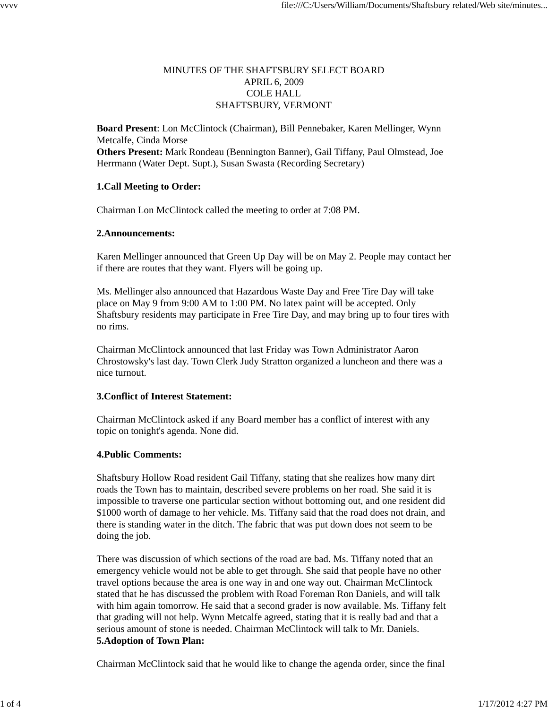## MINUTES OF THE SHAFTSBURY SELECT BOARD APRIL 6, 2009 COLE HALL SHAFTSBURY, VERMONT

**Board Present**: Lon McClintock (Chairman), Bill Pennebaker, Karen Mellinger, Wynn Metcalfe, Cinda Morse **Others Present:** Mark Rondeau (Bennington Banner), Gail Tiffany, Paul Olmstead, Joe Herrmann (Water Dept. Supt.), Susan Swasta (Recording Secretary)

### **1.Call Meeting to Order:**

Chairman Lon McClintock called the meeting to order at 7:08 PM.

### **2.Announcements:**

Karen Mellinger announced that Green Up Day will be on May 2. People may contact her if there are routes that they want. Flyers will be going up.

Ms. Mellinger also announced that Hazardous Waste Day and Free Tire Day will take place on May 9 from 9:00 AM to 1:00 PM. No latex paint will be accepted. Only Shaftsbury residents may participate in Free Tire Day, and may bring up to four tires with no rims.

Chairman McClintock announced that last Friday was Town Administrator Aaron Chrostowsky's last day. Town Clerk Judy Stratton organized a luncheon and there was a nice turnout.

# **3.Conflict of Interest Statement:**

Chairman McClintock asked if any Board member has a conflict of interest with any topic on tonight's agenda. None did.

### **4.Public Comments:**

Shaftsbury Hollow Road resident Gail Tiffany, stating that she realizes how many dirt roads the Town has to maintain, described severe problems on her road. She said it is impossible to traverse one particular section without bottoming out, and one resident did \$1000 worth of damage to her vehicle. Ms. Tiffany said that the road does not drain, and there is standing water in the ditch. The fabric that was put down does not seem to be doing the job.

There was discussion of which sections of the road are bad. Ms. Tiffany noted that an emergency vehicle would not be able to get through. She said that people have no other travel options because the area is one way in and one way out. Chairman McClintock stated that he has discussed the problem with Road Foreman Ron Daniels, and will talk with him again tomorrow. He said that a second grader is now available. Ms. Tiffany felt that grading will not help. Wynn Metcalfe agreed, stating that it is really bad and that a serious amount of stone is needed. Chairman McClintock will talk to Mr. Daniels. **5.Adoption of Town Plan:**

Chairman McClintock said that he would like to change the agenda order, since the final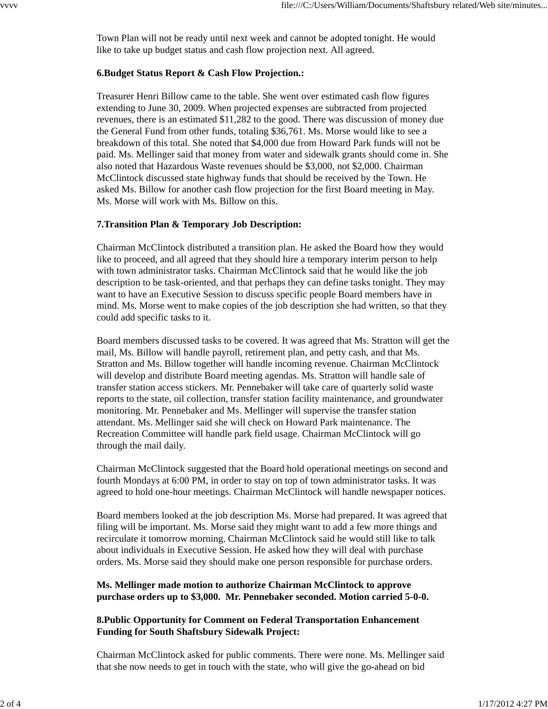Town Plan will not be ready until next week and cannot be adopted tonight. He would like to take up budget status and cash flow projection next. All agreed.

## **6.Budget Status Report & Cash Flow Projection.:**

Treasurer Henri Billow came to the table. She went over estimated cash flow figures extending to June 30, 2009. When projected expenses are subtracted from projected revenues, there is an estimated \$11,282 to the good. There was discussion of money due the General Fund from other funds, totaling \$36,761. Ms. Morse would like to see a breakdown of this total. She noted that \$4,000 due from Howard Park funds will not be paid. Ms. Mellinger said that money from water and sidewalk grants should come in. She also noted that Hazardous Waste revenues should be \$3,000, not \$2,000. Chairman McClintock discussed state highway funds that should be received by the Town. He asked Ms. Billow for another cash flow projection for the first Board meeting in May. Ms. Morse will work with Ms. Billow on this.

# **7.Transition Plan & Temporary Job Description:**

Chairman McClintock distributed a transition plan. He asked the Board how they would like to proceed, and all agreed that they should hire a temporary interim person to help with town administrator tasks. Chairman McClintock said that he would like the job description to be task-oriented, and that perhaps they can define tasks tonight. They may want to have an Executive Session to discuss specific people Board members have in mind. Ms. Morse went to make copies of the job description she had written, so that they could add specific tasks to it.

Board members discussed tasks to be covered. It was agreed that Ms. Stratton will get the mail, Ms. Billow will handle payroll, retirement plan, and petty cash, and that Ms. Stratton and Ms. Billow together will handle incoming revenue. Chairman McClintock will develop and distribute Board meeting agendas. Ms. Stratton will handle sale of transfer station access stickers. Mr. Pennebaker will take care of quarterly solid waste reports to the state, oil collection, transfer station facility maintenance, and groundwater monitoring. Mr. Pennebaker and Ms. Mellinger will supervise the transfer station attendant. Ms. Mellinger said she will check on Howard Park maintenance. The Recreation Committee will handle park field usage. Chairman McClintock will go through the mail daily.

Chairman McClintock suggested that the Board hold operational meetings on second and fourth Mondays at 6:00 PM, in order to stay on top of town administrator tasks. It was agreed to hold one-hour meetings. Chairman McClintock will handle newspaper notices.

Board members looked at the job description Ms. Morse had prepared. It was agreed that filing will be important. Ms. Morse said they might want to add a few more things and recirculate it tomorrow morning. Chairman McClintock said he would still like to talk about individuals in Executive Session. He asked how they will deal with purchase orders. Ms. Morse said they should make one person responsible for purchase orders.

### **Ms. Mellinger made motion to authorize Chairman McClintock to approve purchase orders up to \$3,000. Mr. Pennebaker seconded. Motion carried 5-0-0.**

## **8.Public Opportunity for Comment on Federal Transportation Enhancement Funding for South Shaftsbury Sidewalk Project:**

Chairman McClintock asked for public comments. There were none. Ms. Mellinger said that she now needs to get in touch with the state, who will give the go-ahead on bid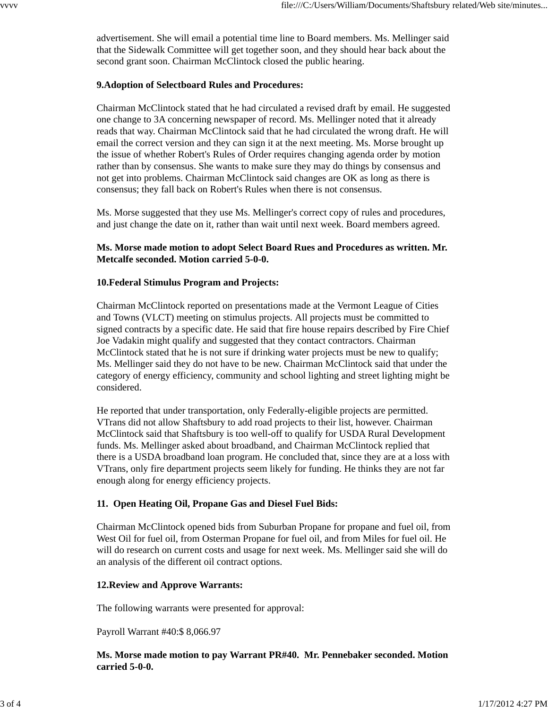advertisement. She will email a potential time line to Board members. Ms. Mellinger said that the Sidewalk Committee will get together soon, and they should hear back about the second grant soon. Chairman McClintock closed the public hearing.

## **9.Adoption of Selectboard Rules and Procedures:**

Chairman McClintock stated that he had circulated a revised draft by email. He suggested one change to 3A concerning newspaper of record. Ms. Mellinger noted that it already reads that way. Chairman McClintock said that he had circulated the wrong draft. He will email the correct version and they can sign it at the next meeting. Ms. Morse brought up the issue of whether Robert's Rules of Order requires changing agenda order by motion rather than by consensus. She wants to make sure they may do things by consensus and not get into problems. Chairman McClintock said changes are OK as long as there is consensus; they fall back on Robert's Rules when there is not consensus.

Ms. Morse suggested that they use Ms. Mellinger's correct copy of rules and procedures, and just change the date on it, rather than wait until next week. Board members agreed.

### **Ms. Morse made motion to adopt Select Board Rues and Procedures as written. Mr. Metcalfe seconded. Motion carried 5-0-0.**

### **10.Federal Stimulus Program and Projects:**

Chairman McClintock reported on presentations made at the Vermont League of Cities and Towns (VLCT) meeting on stimulus projects. All projects must be committed to signed contracts by a specific date. He said that fire house repairs described by Fire Chief Joe Vadakin might qualify and suggested that they contact contractors. Chairman McClintock stated that he is not sure if drinking water projects must be new to qualify; Ms. Mellinger said they do not have to be new. Chairman McClintock said that under the category of energy efficiency, community and school lighting and street lighting might be considered.

He reported that under transportation, only Federally-eligible projects are permitted. VTrans did not allow Shaftsbury to add road projects to their list, however. Chairman McClintock said that Shaftsbury is too well-off to qualify for USDA Rural Development funds. Ms. Mellinger asked about broadband, and Chairman McClintock replied that there is a USDA broadband loan program. He concluded that, since they are at a loss with VTrans, only fire department projects seem likely for funding. He thinks they are not far enough along for energy efficiency projects.

### **11. Open Heating Oil, Propane Gas and Diesel Fuel Bids:**

Chairman McClintock opened bids from Suburban Propane for propane and fuel oil, from West Oil for fuel oil, from Osterman Propane for fuel oil, and from Miles for fuel oil. He will do research on current costs and usage for next week. Ms. Mellinger said she will do an analysis of the different oil contract options.

### **12.Review and Approve Warrants:**

The following warrants were presented for approval:

Payroll Warrant #40:\$ 8,066.97

**Ms. Morse made motion to pay Warrant PR#40. Mr. Pennebaker seconded. Motion carried 5-0-0.**